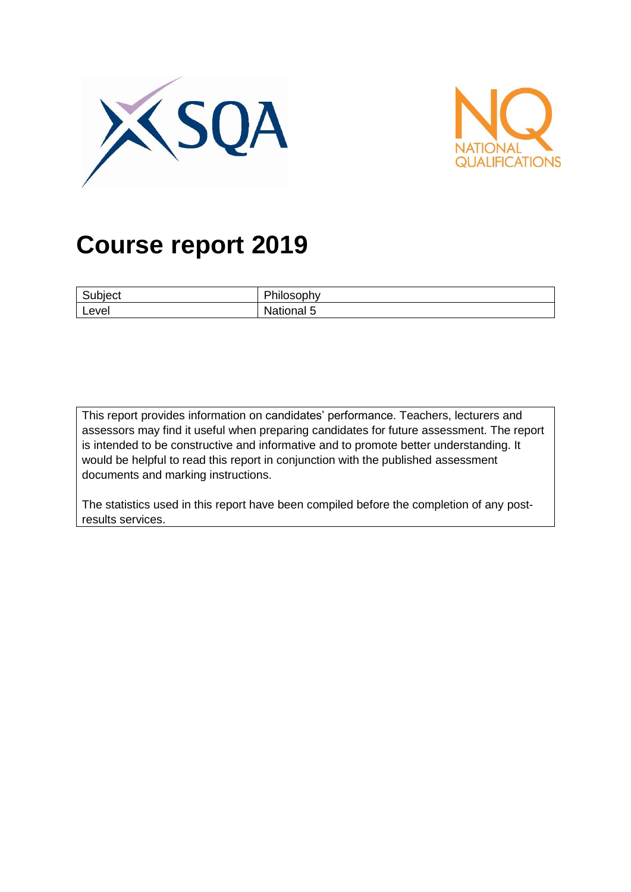



# **Course report 2019**

| $\overline{\phantom{0}}$<br>ubiect | DL:1<br>.<br>-13  |
|------------------------------------|-------------------|
| Level                              | . .<br>National 5 |

This report provides information on candidates' performance. Teachers, lecturers and assessors may find it useful when preparing candidates for future assessment. The report is intended to be constructive and informative and to promote better understanding. It would be helpful to read this report in conjunction with the published assessment documents and marking instructions.

The statistics used in this report have been compiled before the completion of any postresults services.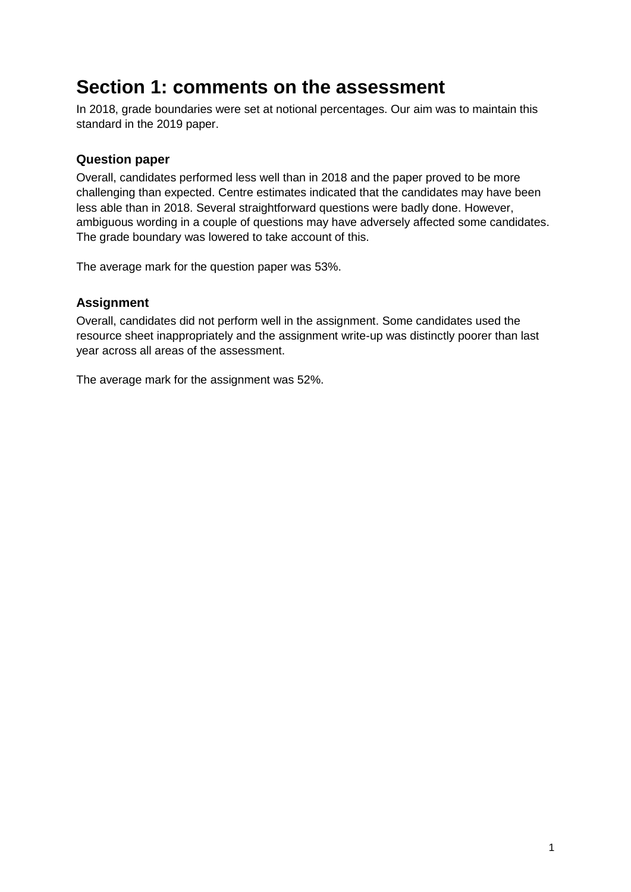## **Section 1: comments on the assessment**

In 2018, grade boundaries were set at notional percentages. Our aim was to maintain this standard in the 2019 paper.

#### **Question paper**

Overall, candidates performed less well than in 2018 and the paper proved to be more challenging than expected. Centre estimates indicated that the candidates may have been less able than in 2018. Several straightforward questions were badly done. However, ambiguous wording in a couple of questions may have adversely affected some candidates. The grade boundary was lowered to take account of this.

The average mark for the question paper was 53%.

#### **Assignment**

Overall, candidates did not perform well in the assignment. Some candidates used the resource sheet inappropriately and the assignment write-up was distinctly poorer than last year across all areas of the assessment.

The average mark for the assignment was 52%.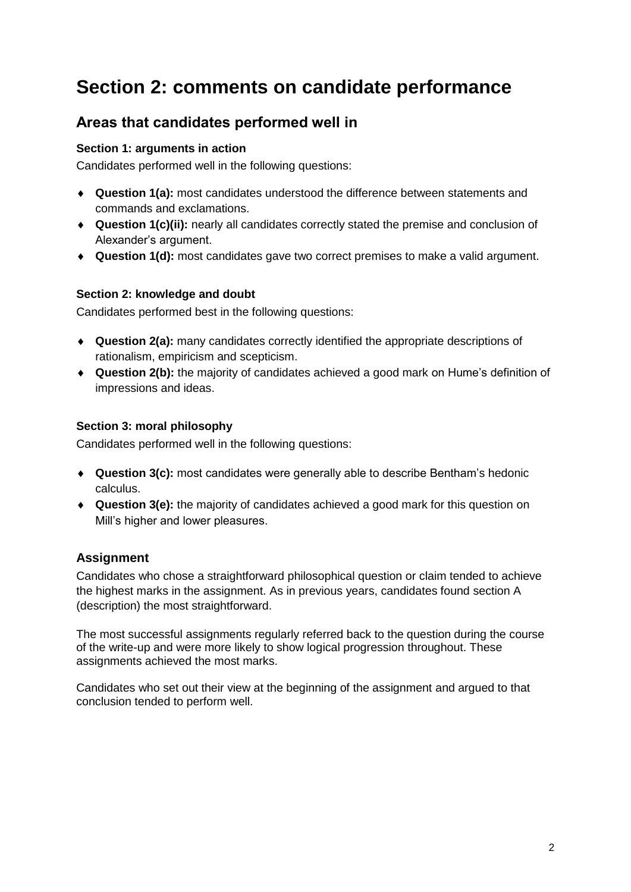## **Section 2: comments on candidate performance**

### **Areas that candidates performed well in**

#### **Section 1: arguments in action**

Candidates performed well in the following questions:

- **Question 1(a):** most candidates understood the difference between statements and commands and exclamations.
- **Question 1(c)(ii):** nearly all candidates correctly stated the premise and conclusion of Alexander's argument.
- **Question 1(d):** most candidates gave two correct premises to make a valid argument.

#### **Section 2: knowledge and doubt**

Candidates performed best in the following questions:

- **Question 2(a):** many candidates correctly identified the appropriate descriptions of rationalism, empiricism and scepticism.
- **Question 2(b):** the majority of candidates achieved a good mark on Hume's definition of impressions and ideas.

#### **Section 3: moral philosophy**

Candidates performed well in the following questions:

- **Question 3(c):** most candidates were generally able to describe Bentham's hedonic calculus.
- **Question 3(e):** the majority of candidates achieved a good mark for this question on Mill's higher and lower pleasures.

#### **Assignment**

Candidates who chose a straightforward philosophical question or claim tended to achieve the highest marks in the assignment. As in previous years, candidates found section A (description) the most straightforward.

The most successful assignments regularly referred back to the question during the course of the write-up and were more likely to show logical progression throughout. These assignments achieved the most marks.

Candidates who set out their view at the beginning of the assignment and argued to that conclusion tended to perform well.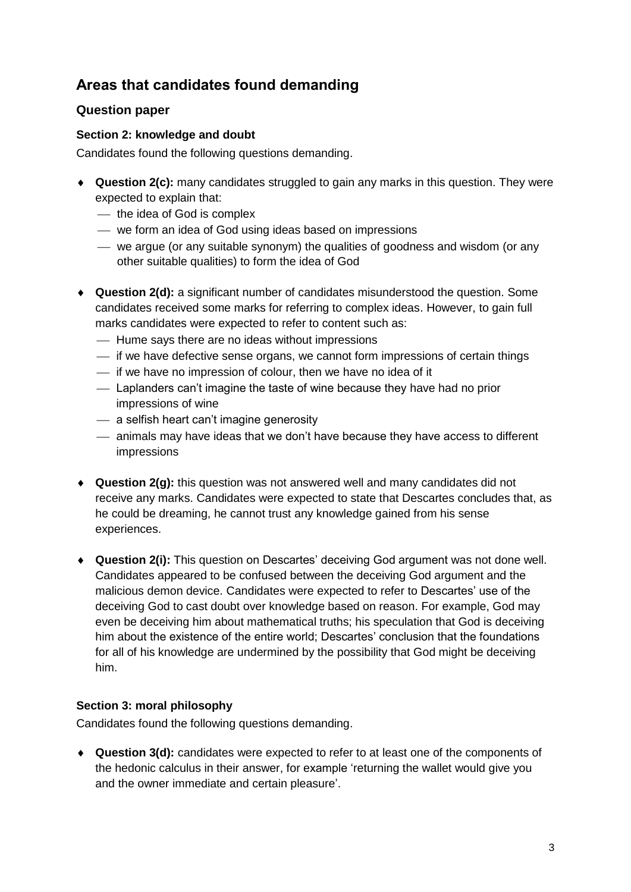### **Areas that candidates found demanding**

#### **Question paper**

#### **Section 2: knowledge and doubt**

Candidates found the following questions demanding.

- **Question 2(c):** many candidates struggled to gain any marks in this question. They were expected to explain that:
	- $-$  the idea of God is complex
	- we form an idea of God using ideas based on impressions
	- we argue (or any suitable synonym) the qualities of goodness and wisdom (or any other suitable qualities) to form the idea of God
- **Question 2(d):** a significant number of candidates misunderstood the question. Some candidates received some marks for referring to complex ideas. However, to gain full marks candidates were expected to refer to content such as:
	- Hume says there are no ideas without impressions
	- $\overline{\phantom{a}}$  if we have defective sense organs, we cannot form impressions of certain things
	- $\frac{1}{1}$  if we have no impression of colour, then we have no idea of it
	- Laplanders can't imagine the taste of wine because they have had no prior impressions of wine
	- a selfish heart can't imagine generosity
	- animals may have ideas that we don't have because they have access to different impressions
- **Question 2(g):** this question was not answered well and many candidates did not receive any marks. Candidates were expected to state that Descartes concludes that, as he could be dreaming, he cannot trust any knowledge gained from his sense experiences.
- **Question 2(i):** This question on Descartes' deceiving God argument was not done well. Candidates appeared to be confused between the deceiving God argument and the malicious demon device. Candidates were expected to refer to Descartes' use of the deceiving God to cast doubt over knowledge based on reason. For example, God may even be deceiving him about mathematical truths; his speculation that God is deceiving him about the existence of the entire world; Descartes' conclusion that the foundations for all of his knowledge are undermined by the possibility that God might be deceiving him.

#### **Section 3: moral philosophy**

Candidates found the following questions demanding.

 **Question 3(d):** candidates were expected to refer to at least one of the components of the hedonic calculus in their answer, for example 'returning the wallet would give you and the owner immediate and certain pleasure'.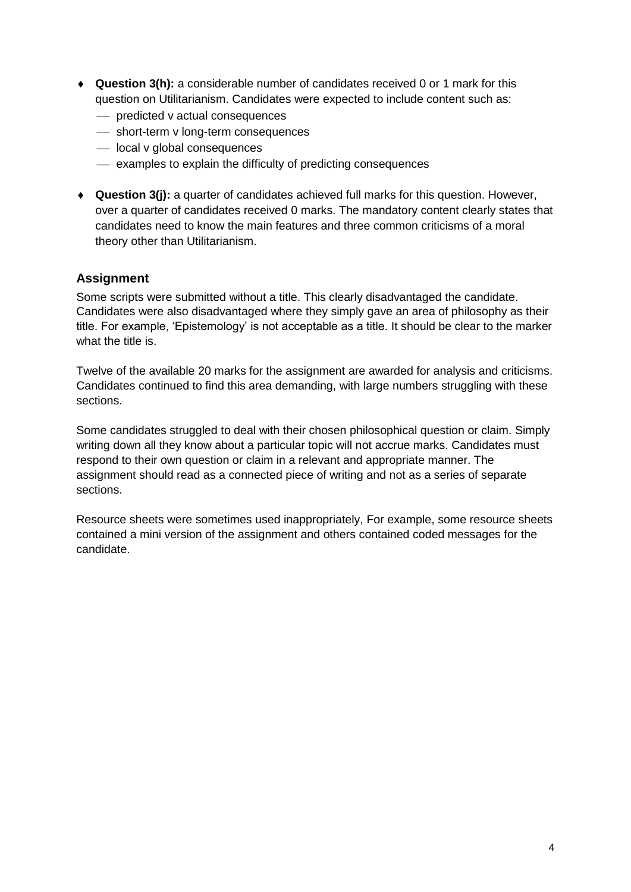- **Question 3(h):** a considerable number of candidates received 0 or 1 mark for this question on Utilitarianism. Candidates were expected to include content such as:
	- **predicted v actual consequences**
	- short-term v long-term consequences
	- local v global consequences
	- examples to explain the difficulty of predicting consequences
- **Question 3(j):** a quarter of candidates achieved full marks for this question. However, over a quarter of candidates received 0 marks. The mandatory content clearly states that candidates need to know the main features and three common criticisms of a moral theory other than Utilitarianism.

#### **Assignment**

Some scripts were submitted without a title. This clearly disadvantaged the candidate. Candidates were also disadvantaged where they simply gave an area of philosophy as their title. For example, 'Epistemology' is not acceptable as a title. It should be clear to the marker what the title is.

Twelve of the available 20 marks for the assignment are awarded for analysis and criticisms. Candidates continued to find this area demanding, with large numbers struggling with these sections.

Some candidates struggled to deal with their chosen philosophical question or claim. Simply writing down all they know about a particular topic will not accrue marks. Candidates must respond to their own question or claim in a relevant and appropriate manner. The assignment should read as a connected piece of writing and not as a series of separate sections.

Resource sheets were sometimes used inappropriately, For example, some resource sheets contained a mini version of the assignment and others contained coded messages for the candidate.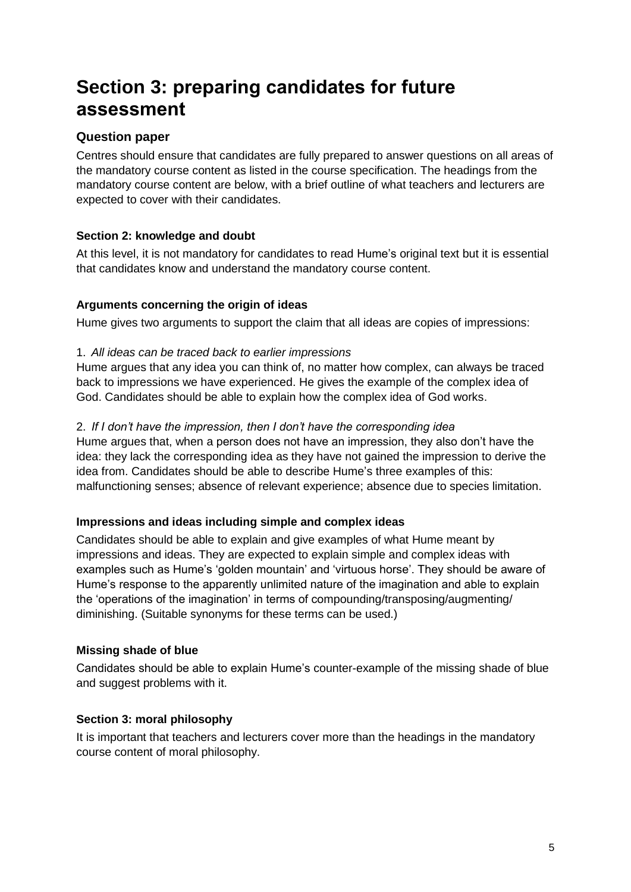## **Section 3: preparing candidates for future assessment**

#### **Question paper**

Centres should ensure that candidates are fully prepared to answer questions on all areas of the mandatory course content as listed in the course specification. The headings from the mandatory course content are below, with a brief outline of what teachers and lecturers are expected to cover with their candidates.

#### **Section 2: knowledge and doubt**

At this level, it is not mandatory for candidates to read Hume's original text but it is essential that candidates know and understand the mandatory course content.

#### **Arguments concerning the origin of ideas**

Hume gives two arguments to support the claim that all ideas are copies of impressions:

#### 1. *All ideas can be traced back to earlier impressions*

Hume argues that any idea you can think of, no matter how complex, can always be traced back to impressions we have experienced. He gives the example of the complex idea of God. Candidates should be able to explain how the complex idea of God works.

#### 2. *If I don't have the impression, then I don't have the corresponding idea*

Hume argues that, when a person does not have an impression, they also don't have the idea: they lack the corresponding idea as they have not gained the impression to derive the idea from. Candidates should be able to describe Hume's three examples of this: malfunctioning senses; absence of relevant experience; absence due to species limitation.

#### **Impressions and ideas including simple and complex ideas**

Candidates should be able to explain and give examples of what Hume meant by impressions and ideas. They are expected to explain simple and complex ideas with examples such as Hume's 'golden mountain' and 'virtuous horse'. They should be aware of Hume's response to the apparently unlimited nature of the imagination and able to explain the 'operations of the imagination' in terms of compounding/transposing/augmenting/ diminishing. (Suitable synonyms for these terms can be used.)

#### **Missing shade of blue**

Candidates should be able to explain Hume's counter-example of the missing shade of blue and suggest problems with it.

#### **Section 3: moral philosophy**

It is important that teachers and lecturers cover more than the headings in the mandatory course content of moral philosophy.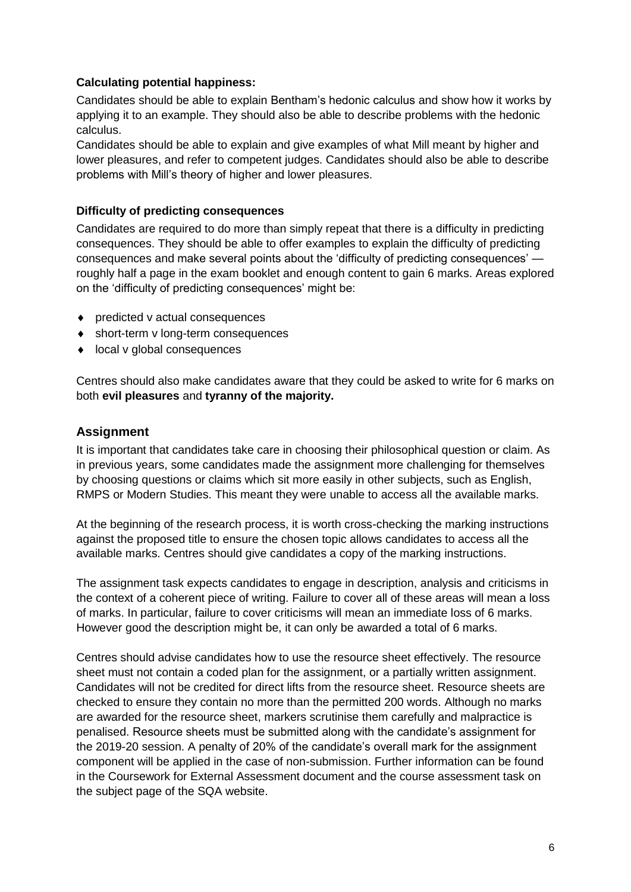#### **Calculating potential happiness:**

Candidates should be able to explain Bentham's hedonic calculus and show how it works by applying it to an example. They should also be able to describe problems with the hedonic calculus.

Candidates should be able to explain and give examples of what Mill meant by higher and lower pleasures, and refer to competent judges. Candidates should also be able to describe problems with Mill's theory of higher and lower pleasures.

#### **Difficulty of predicting consequences**

Candidates are required to do more than simply repeat that there is a difficulty in predicting consequences. They should be able to offer examples to explain the difficulty of predicting consequences and make several points about the 'difficulty of predicting consequences' roughly half a page in the exam booklet and enough content to gain 6 marks. Areas explored on the 'difficulty of predicting consequences' might be:

- ◆ predicted v actual consequences
- ◆ short-term v long-term consequences
- ◆ local v global consequences

Centres should also make candidates aware that they could be asked to write for 6 marks on both **evil pleasures** and **tyranny of the majority.**

#### **Assignment**

It is important that candidates take care in choosing their philosophical question or claim. As in previous years, some candidates made the assignment more challenging for themselves by choosing questions or claims which sit more easily in other subjects, such as English, RMPS or Modern Studies. This meant they were unable to access all the available marks.

At the beginning of the research process, it is worth cross-checking the marking instructions against the proposed title to ensure the chosen topic allows candidates to access all the available marks. Centres should give candidates a copy of the marking instructions.

The assignment task expects candidates to engage in description, analysis and criticisms in the context of a coherent piece of writing. Failure to cover all of these areas will mean a loss of marks. In particular, failure to cover criticisms will mean an immediate loss of 6 marks. However good the description might be, it can only be awarded a total of 6 marks.

Centres should advise candidates how to use the resource sheet effectively. The resource sheet must not contain a coded plan for the assignment, or a partially written assignment. Candidates will not be credited for direct lifts from the resource sheet. Resource sheets are checked to ensure they contain no more than the permitted 200 words. Although no marks are awarded for the resource sheet, markers scrutinise them carefully and malpractice is penalised. Resource sheets must be submitted along with the candidate's assignment for the 2019-20 session. A penalty of 20% of the candidate's overall mark for the assignment component will be applied in the case of non-submission. Further information can be found in the Coursework for External Assessment document and the course assessment task on the subject page of the SQA website.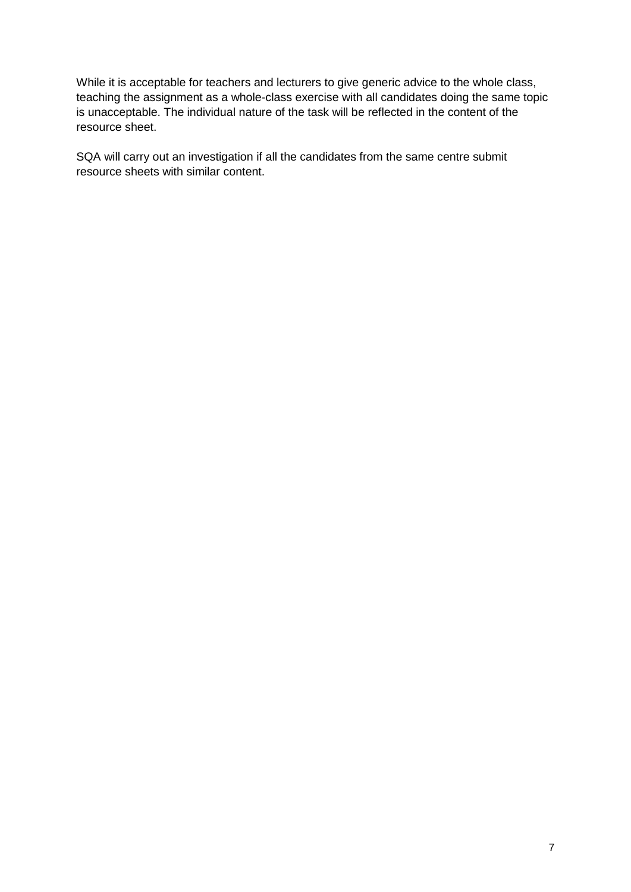While it is acceptable for teachers and lecturers to give generic advice to the whole class, teaching the assignment as a whole-class exercise with all candidates doing the same topic is unacceptable. The individual nature of the task will be reflected in the content of the resource sheet.

SQA will carry out an investigation if all the candidates from the same centre submit resource sheets with similar content.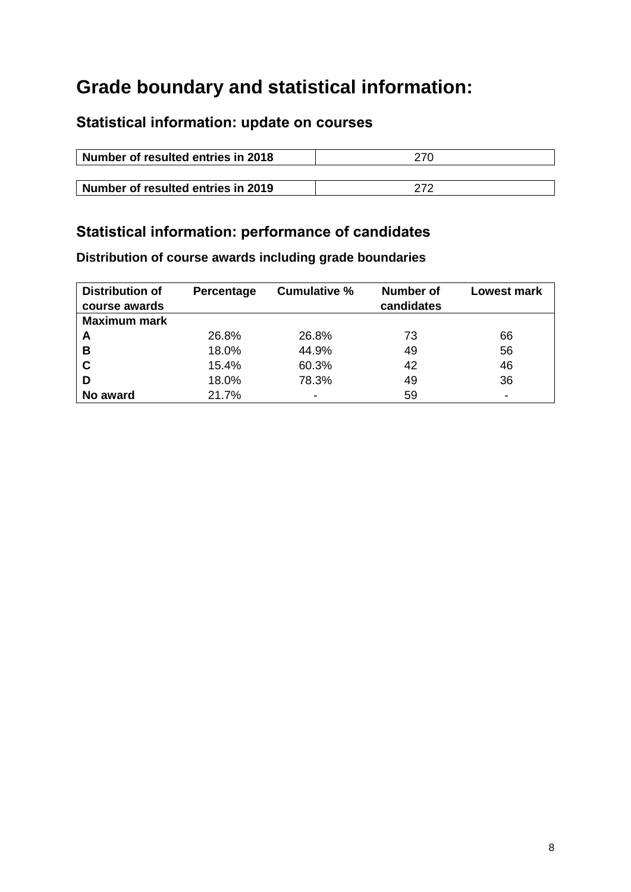## **Grade boundary and statistical information:**

### **Statistical information: update on courses**

| Number of resulted entries in 2018 | 270 |  |  |
|------------------------------------|-----|--|--|
|                                    |     |  |  |
| Number of resulted entries in 2019 | 272 |  |  |

## **Statistical information: performance of candidates**

**Distribution of course awards including grade boundaries**

| <b>Distribution of</b><br>course awards | Percentage | <b>Cumulative %</b> | Number of<br>candidates | <b>Lowest mark</b> |
|-----------------------------------------|------------|---------------------|-------------------------|--------------------|
| <b>Maximum mark</b>                     |            |                     |                         |                    |
| A                                       | 26.8%      | 26.8%               | 73                      | 66                 |
| В                                       | 18.0%      | 44.9%               | 49                      | 56                 |
| C                                       | 15.4%      | 60.3%               | 42                      | 46                 |
| D                                       | 18.0%      | 78.3%               | 49                      | 36                 |
| No award                                | 21.7%      |                     | 59                      |                    |